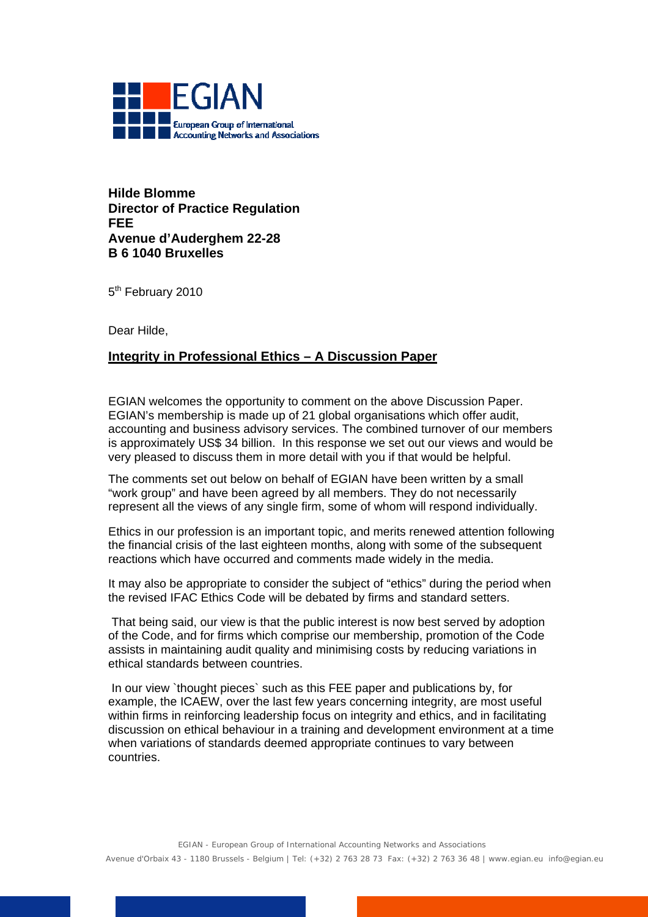

**Hilde Blomme Director of Practice Regulation FEE Avenue d'Auderghem 22-28 B 6 1040 Bruxelles** 

5<sup>th</sup> February 2010

Dear Hilde,

## **Integrity in Professional Ethics – A Discussion Paper**

EGIAN welcomes the opportunity to comment on the above Discussion Paper. EGIAN's membership is made up of 21 global organisations which offer audit, accounting and business advisory services. The combined turnover of our members is approximately US\$ 34 billion. In this response we set out our views and would be very pleased to discuss them in more detail with you if that would be helpful.

The comments set out below on behalf of EGIAN have been written by a small "work group" and have been agreed by all members. They do not necessarily represent all the views of any single firm, some of whom will respond individually.

Ethics in our profession is an important topic, and merits renewed attention following the financial crisis of the last eighteen months, along with some of the subsequent reactions which have occurred and comments made widely in the media.

It may also be appropriate to consider the subject of "ethics" during the period when the revised IFAC Ethics Code will be debated by firms and standard setters.

 That being said, our view is that the public interest is now best served by adoption of the Code, and for firms which comprise our membership, promotion of the Code assists in maintaining audit quality and minimising costs by reducing variations in ethical standards between countries.

 In our view `thought pieces` such as this FEE paper and publications by, for example, the ICAEW, over the last few years concerning integrity, are most useful within firms in reinforcing leadership focus on integrity and ethics, and in facilitating discussion on ethical behaviour in a training and development environment at a time when variations of standards deemed appropriate continues to vary between countries.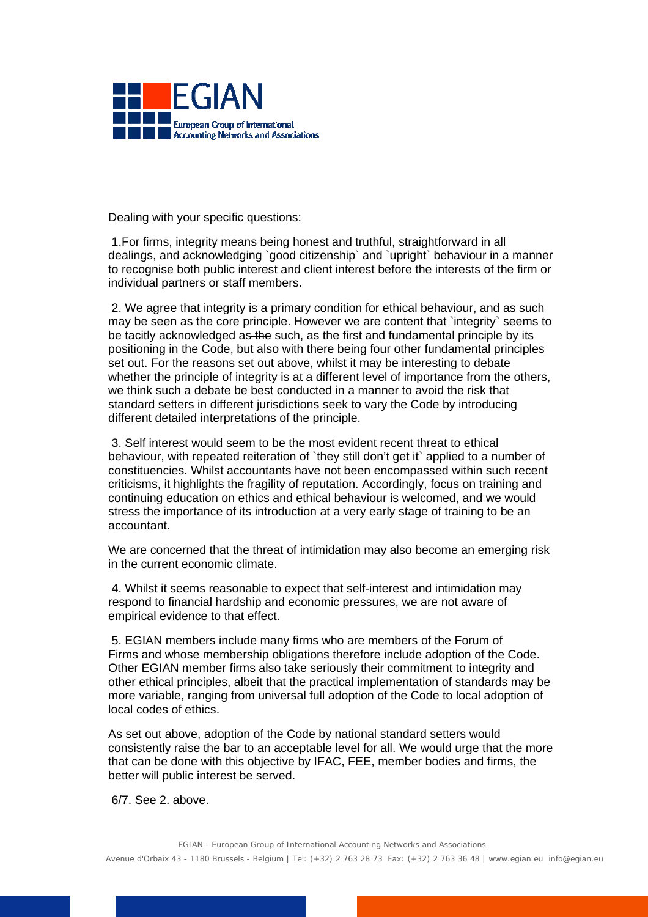

## Dealing with your specific questions:

 1.For firms, integrity means being honest and truthful, straightforward in all dealings, and acknowledging `good citizenship` and `upright` behaviour in a manner to recognise both public interest and client interest before the interests of the firm or individual partners or staff members.

 2. We agree that integrity is a primary condition for ethical behaviour, and as such may be seen as the core principle. However we are content that `integrity` seems to be tacitly acknowledged as the such, as the first and fundamental principle by its positioning in the Code, but also with there being four other fundamental principles set out. For the reasons set out above, whilst it may be interesting to debate whether the principle of integrity is at a different level of importance from the others, we think such a debate be best conducted in a manner to avoid the risk that standard setters in different jurisdictions seek to vary the Code by introducing different detailed interpretations of the principle.

 3. Self interest would seem to be the most evident recent threat to ethical behaviour, with repeated reiteration of `they still don't get it` applied to a number of constituencies. Whilst accountants have not been encompassed within such recent criticisms, it highlights the fragility of reputation. Accordingly, focus on training and continuing education on ethics and ethical behaviour is welcomed, and we would stress the importance of its introduction at a very early stage of training to be an accountant.

We are concerned that the threat of intimidation may also become an emerging risk in the current economic climate.

 4. Whilst it seems reasonable to expect that self-interest and intimidation may respond to financial hardship and economic pressures, we are not aware of empirical evidence to that effect.

 5. EGIAN members include many firms who are members of the Forum of Firms and whose membership obligations therefore include adoption of the Code. Other EGIAN member firms also take seriously their commitment to integrity and other ethical principles, albeit that the practical implementation of standards may be more variable, ranging from universal full adoption of the Code to local adoption of local codes of ethics.

As set out above, adoption of the Code by national standard setters would consistently raise the bar to an acceptable level for all. We would urge that the more that can be done with this objective by IFAC, FEE, member bodies and firms, the better will public interest be served.

6/7. See 2. above.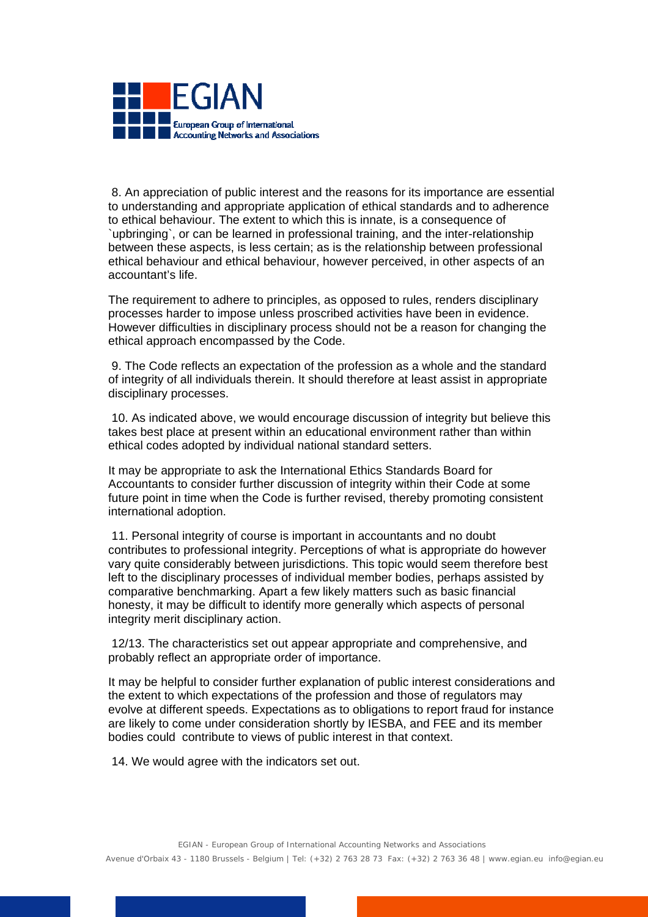

 8. An appreciation of public interest and the reasons for its importance are essential to understanding and appropriate application of ethical standards and to adherence to ethical behaviour. The extent to which this is innate, is a consequence of `upbringing`, or can be learned in professional training, and the inter-relationship between these aspects, is less certain; as is the relationship between professional ethical behaviour and ethical behaviour, however perceived, in other aspects of an accountant's life.

The requirement to adhere to principles, as opposed to rules, renders disciplinary processes harder to impose unless proscribed activities have been in evidence. However difficulties in disciplinary process should not be a reason for changing the ethical approach encompassed by the Code.

 9. The Code reflects an expectation of the profession as a whole and the standard of integrity of all individuals therein. It should therefore at least assist in appropriate disciplinary processes.

 10. As indicated above, we would encourage discussion of integrity but believe this takes best place at present within an educational environment rather than within ethical codes adopted by individual national standard setters.

It may be appropriate to ask the International Ethics Standards Board for Accountants to consider further discussion of integrity within their Code at some future point in time when the Code is further revised, thereby promoting consistent international adoption.

 11. Personal integrity of course is important in accountants and no doubt contributes to professional integrity. Perceptions of what is appropriate do however vary quite considerably between jurisdictions. This topic would seem therefore best left to the disciplinary processes of individual member bodies, perhaps assisted by comparative benchmarking. Apart a few likely matters such as basic financial honesty, it may be difficult to identify more generally which aspects of personal integrity merit disciplinary action.

 12/13. The characteristics set out appear appropriate and comprehensive, and probably reflect an appropriate order of importance.

It may be helpful to consider further explanation of public interest considerations and the extent to which expectations of the profession and those of regulators may evolve at different speeds. Expectations as to obligations to report fraud for instance are likely to come under consideration shortly by IESBA, and FEE and its member bodies could contribute to views of public interest in that context.

14. We would agree with the indicators set out.